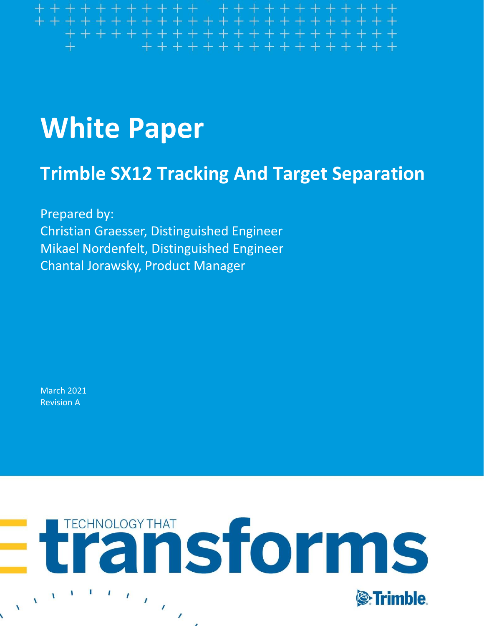#### ++++++++ + +++++++++++ ++++++++++++++++++++++ ++++++++++++++++

# **White Paper**

# **Trimble SX12 Tracking And Target Separation**

Prepared by: Christian Graesser, Distinguished Engineer Mikael Nordenfelt, Distinguished Engineer Chantal Jorawsky, Product Manager

March 2021 Revision A

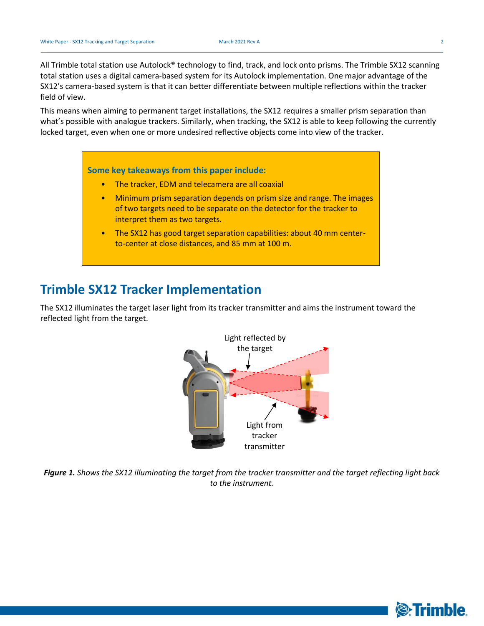All Trimble total station use Autolock® technology to find, track, and lock onto prisms. The Trimble SX12 scanning total station uses a digital camera-based system for its Autolock implementation. One major advantage of the SX12's camera-based system is that it can better differentiate between multiple reflections within the tracker field of view.

This means when aiming to permanent target installations, the SX12 requires a smaller prism separation than what's possible with analogue trackers. Similarly, when tracking, the SX12 is able to keep following the currently locked target, even when one or more undesired reflective objects come into view of the tracker.

#### **Some key takeaways from this paper include:**

- The tracker, EDM and telecamera are all coaxial
- Minimum prism separation depends on prism size and range. The images of two targets need to be separate on the detector for the tracker to interpret them as two targets.
- The SX12 has good target separation capabilities: about 40 mm centerto-center at close distances, and 85 mm at 100 m.

#### **Trimble SX12 Tracker Implementation**

The SX12 illuminates the target laser light from its tracker transmitter and aims the instrument toward the reflected light from the target.



*Figure 1. Shows the SX12 illuminating the target from the tracker transmitter and the target reflecting light back to the instrument.*

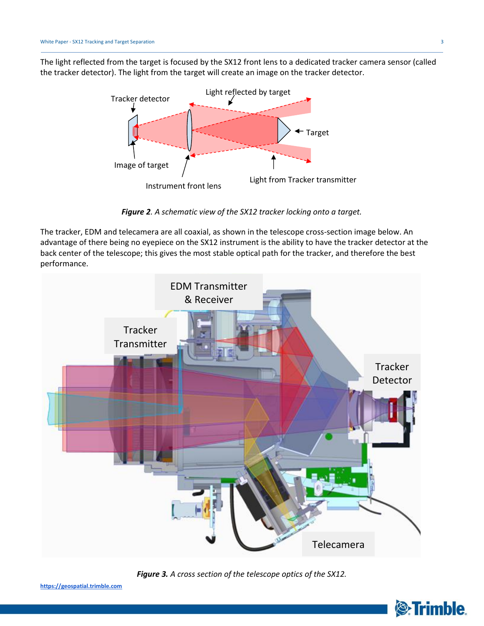The light reflected from the target is focused by the SX12 front lens to a dedicated tracker camera sensor (called the tracker detector). The light from the target will create an image on the tracker detector.



*Figure 2. A schematic view of the SX12 tracker locking onto a target.*

The tracker, EDM and telecamera are all coaxial, as shown in the telescope cross-section image below. An advantage of there being no eyepiece on the SX12 instrument is the ability to have the tracker detector at the back center of the telescope; this gives the most stable optical path for the tracker, and therefore the best performance.



*Figure 3. A cross section of the telescope optics of the SX12.*



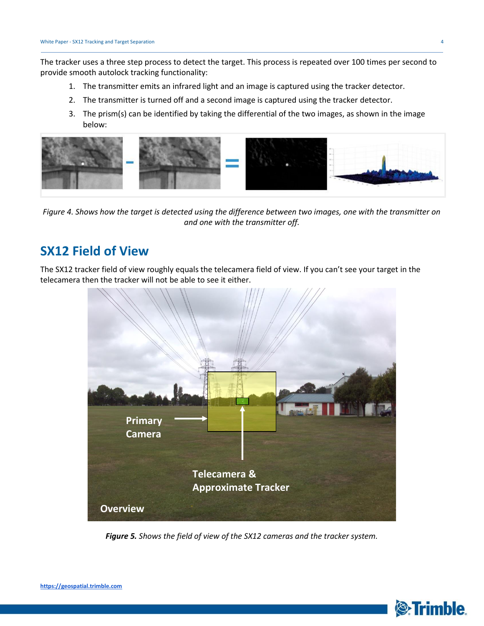The tracker uses a three step process to detect the target. This process is repeated over 100 times per second to provide smooth autolock tracking functionality:

- 1. The transmitter emits an infrared light and an image is captured using the tracker detector.
- 2. The transmitter is turned off and a second image is captured using the tracker detector.
- 3. The prism(s) can be identified by taking the differential of the two images, as shown in the image below:



*Figure 4. Shows how the target is detected using the difference between two images, one with the transmitter on and one with the transmitter off.*

### **SX12 Field of View**

The SX12 tracker field of view roughly equals the telecamera field of view. If you can't see your target in the telecamera then the tracker will not be able to see it either.



*Figure 5. Shows the field of view of the SX12 cameras and the tracker system.*



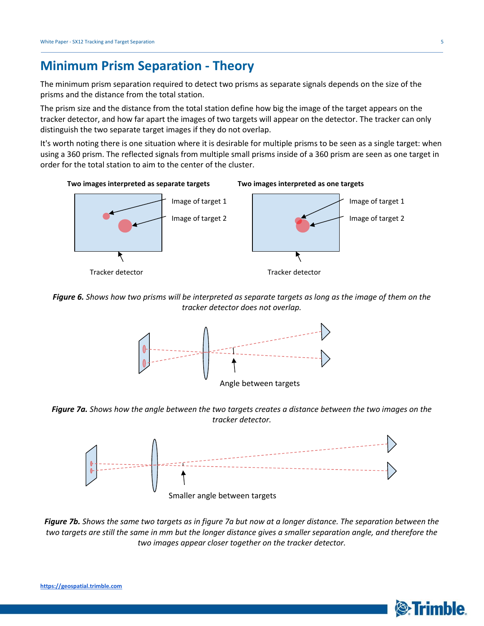#### **Minimum Prism Separation - Theory**

The minimum prism separation required to detect two prisms as separate signals depends on the size of the prisms and the distance from the total station.

The prism size and the distance from the total station define how big the image of the target appears on the tracker detector, and how far apart the images of two targets will appear on the detector. The tracker can only distinguish the two separate target images if they do not overlap.

It's worth noting there is one situation where it is desirable for multiple prisms to be seen as a single target: when using a 360 prism. The reflected signals from multiple small prisms inside of a 360 prism are seen as one target in order for the total station to aim to the center of the cluster.



*Figure 6. Shows how two prisms will be interpreted as separate targets as long as the image of them on the tracker detector does not overlap.*



*Figure 7a. Shows how the angle between the two targets creates a distance between the two images on the tracker detector.*



*Figure 7b. Shows the same two targets as in figure 7a but now at a longer distance. The separation between the two targets are still the same in mm but the longer distance gives a smaller separation angle, and therefore the two images appear closer together on the tracker detector.*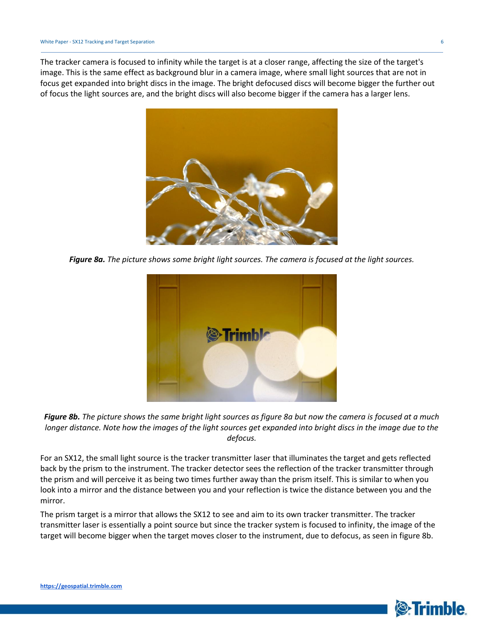The tracker camera is focused to infinity while the target is at a closer range, affecting the size of the target's image. This is the same effect as background blur in a camera image, where small light sources that are not in focus get expanded into bright discs in the image. The bright defocused discs will become bigger the further out of focus the light sources are, and the bright discs will also become bigger if the camera has a larger lens.



*Figure 8a. The picture shows some bright light sources. The camera is focused at the light sources.*



*Figure 8b. The picture shows the same bright light sources as figure 8a but now the camera is focused at a much longer distance. Note how the images of the light sources get expanded into bright discs in the image due to the defocus.*

For an SX12, the small light source is the tracker transmitter laser that illuminates the target and gets reflected back by the prism to the instrument. The tracker detector sees the reflection of the tracker transmitter through the prism and will perceive it as being two times further away than the prism itself. This is similar to when you look into a mirror and the distance between you and your reflection is twice the distance between you and the mirror.

The prism target is a mirror that allows the SX12 to see and aim to its own tracker transmitter. The tracker transmitter laser is essentially a point source but since the tracker system is focused to infinity, the image of the target will become bigger when the target moves closer to the instrument, due to defocus, as seen in figure 8b.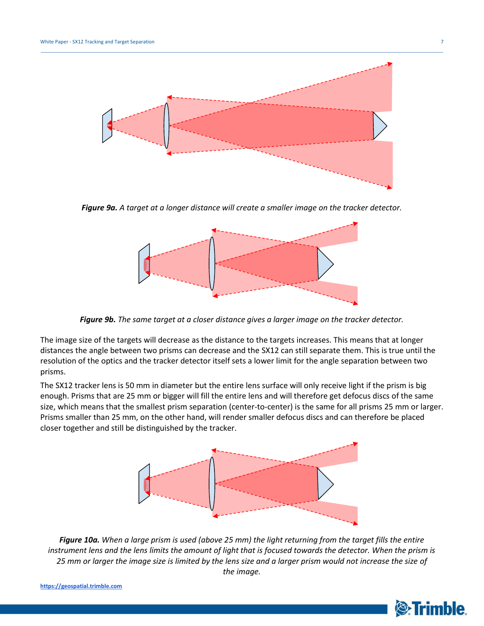

*Figure 9a. A target at a longer distance will create a smaller image on the tracker detector.*



*Figure 9b. The same target at a closer distance gives a larger image on the tracker detector.*

The image size of the targets will decrease as the distance to the targets increases. This means that at longer distances the angle between two prisms can decrease and the SX12 can still separate them. This is true until the resolution of the optics and the tracker detector itself sets a lower limit for the angle separation between two prisms.

The SX12 tracker lens is 50 mm in diameter but the entire lens surface will only receive light if the prism is big enough. Prisms that are 25 mm or bigger will fill the entire lens and will therefore get defocus discs of the same size, which means that the smallest prism separation (center-to-center) is the same for all prisms 25 mm or larger. Prisms smaller than 25 mm, on the other hand, will render smaller defocus discs and can therefore be placed closer together and still be distinguished by the tracker.



*Figure 10a. When a large prism is used (above 25 mm) the light returning from the target fills the entire instrument lens and the lens limits the amount of light that is focused towards the detector. When the prism is 25 mm or larger the image size is limited by the lens size and a larger prism would not increase the size of the image.*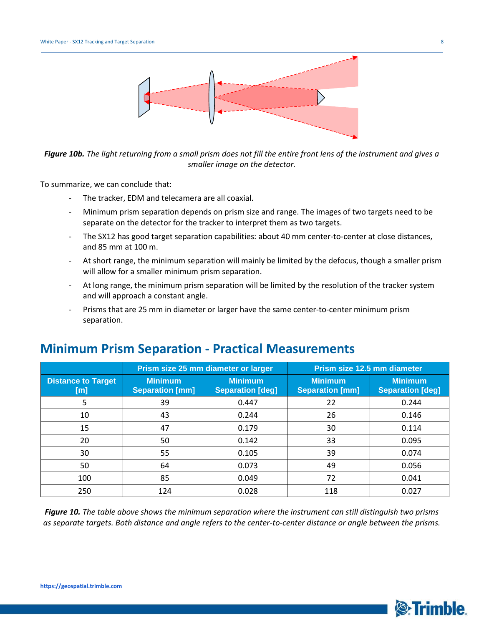

*Figure 10b. The light returning from a small prism does not fill the entire front lens of the instrument and gives a smaller image on the detector.*

To summarize, we can conclude that:

- The tracker, EDM and telecamera are all coaxial.
- Minimum prism separation depends on prism size and range. The images of two targets need to be separate on the detector for the tracker to interpret them as two targets.
- The SX12 has good target separation capabilities: about 40 mm center-to-center at close distances, and 85 mm at 100 m.
- At short range, the minimum separation will mainly be limited by the defocus, though a smaller prism will allow for a smaller minimum prism separation.
- At long range, the minimum prism separation will be limited by the resolution of the tracker system and will approach a constant angle.
- Prisms that are 25 mm in diameter or larger have the same center-to-center minimum prism separation.

|                                  | Prism size 25 mm diameter or larger      |                                           | Prism size 12.5 mm diameter              |                                           |
|----------------------------------|------------------------------------------|-------------------------------------------|------------------------------------------|-------------------------------------------|
| <b>Distance to Target</b><br>[m] | <b>Minimum</b><br><b>Separation [mm]</b> | <b>Minimum</b><br><b>Separation [deg]</b> | <b>Minimum</b><br><b>Separation [mm]</b> | <b>Minimum</b><br><b>Separation [deg]</b> |
| 5                                | 39                                       | 0.447                                     | 22                                       | 0.244                                     |
| 10                               | 43                                       | 0.244                                     | 26                                       | 0.146                                     |
| 15                               | 47                                       | 0.179                                     | 30                                       | 0.114                                     |
| 20                               | 50                                       | 0.142                                     | 33                                       | 0.095                                     |
| 30                               | 55                                       | 0.105                                     | 39                                       | 0.074                                     |
| 50                               | 64                                       | 0.073                                     | 49                                       | 0.056                                     |
| 100                              | 85                                       | 0.049                                     | 72                                       | 0.041                                     |
| 250                              | 124                                      | 0.028                                     | 118                                      | 0.027                                     |

#### **Minimum Prism Separation - Practical Measurements**

*Figure 10. The table above shows the minimum separation where the instrument can still distinguish two prisms as separate targets. Both distance and angle refers to the center-to-center distance or angle between the prisms.*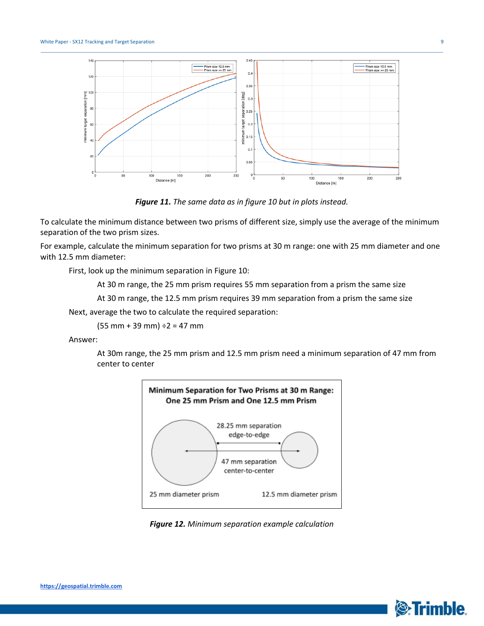

*Figure 11. The same data as in figure 10 but in plots instead.*

To calculate the minimum distance between two prisms of different size, simply use the average of the minimum separation of the two prism sizes.

For example, calculate the minimum separation for two prisms at 30 m range: one with 25 mm diameter and one with 12.5 mm diameter:

First, look up the minimum separation in Figure 10:

At 30 m range, the 25 mm prism requires 55 mm separation from a prism the same size

At 30 m range, the 12.5 mm prism requires 39 mm separation from a prism the same size

Next, average the two to calculate the required separation:

 $(55$  mm + 39 mm)  $\div$ 2 = 47 mm

Answer:

At 30m range, the 25 mm prism and 12.5 mm prism need a minimum separation of 47 mm from center to center



*Figure 12. Minimum separation example calculation*

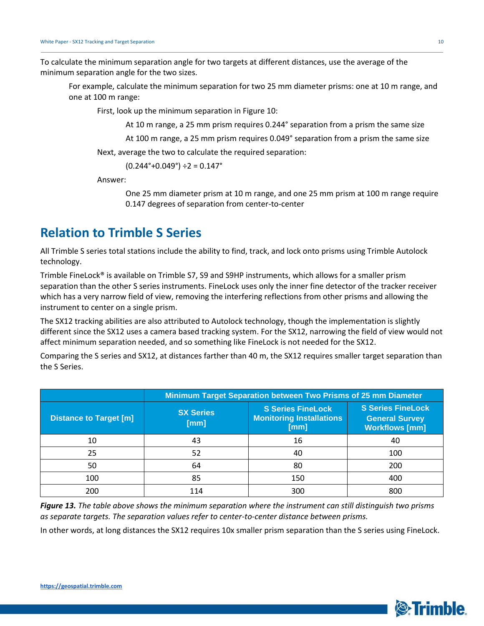To calculate the minimum separation angle for two targets at different distances, use the average of the minimum separation angle for the two sizes.

For example, calculate the minimum separation for two 25 mm diameter prisms: one at 10 m range, and one at 100 m range:

First, look up the minimum separation in Figure 10:

At 10 m range, a 25 mm prism requires 0.244° separation from a prism the same size

At 100 m range, a 25 mm prism requires 0.049° separation from a prism the same size

Next, average the two to calculate the required separation:

 $(0.244^{\circ}+0.049^{\circ}) \div 2 = 0.147^{\circ}$ 

Answer:

One 25 mm diameter prism at 10 m range, and one 25 mm prism at 100 m range require 0.147 degrees of separation from center-to-center

## **Relation to Trimble S Series**

All Trimble S series total stations include the ability to find, track, and lock onto prisms using Trimble Autolock technology.

Trimble FineLock® is available on Trimble S7, S9 and S9HP instruments, which allows for a smaller prism separation than the other S series instruments. FineLock uses only the inner fine detector of the tracker receiver which has a very narrow field of view, removing the interfering reflections from other prisms and allowing the instrument to center on a single prism.

The SX12 tracking abilities are also attributed to Autolock technology, though the implementation is slightly different since the SX12 uses a camera based tracking system. For the SX12, narrowing the field of view would not affect minimum separation needed, and so something like FineLock is not needed for the SX12.

Comparing the S series and SX12, at distances farther than 40 m, the SX12 requires smaller target separation than the S Series.

|                               | Minimum Target Separation between Two Prisms of 25 mm Diameter |                                                                     |                                                                            |  |
|-------------------------------|----------------------------------------------------------------|---------------------------------------------------------------------|----------------------------------------------------------------------------|--|
| <b>Distance to Target [m]</b> | <b>SX Series</b><br>[mm]                                       | <b>S Series FineLock</b><br><b>Monitoring Installations</b><br>[mm] | <b>S Series FineLock</b><br><b>General Survey</b><br><b>Workflows [mm]</b> |  |
| 10                            | 43                                                             | 16                                                                  | 40                                                                         |  |
| 25                            | 52                                                             | 40                                                                  | 100                                                                        |  |
| 50                            | 64                                                             | 80                                                                  | 200                                                                        |  |
| 100                           | 85                                                             | 150                                                                 | 400                                                                        |  |
| 200                           | 114                                                            | 300                                                                 | 800                                                                        |  |

*Figure 13. The table above shows the minimum separation where the instrument can still distinguish two prisms as separate targets. The separation values refer to center-to-center distance between prisms.*

In other words, at long distances the SX12 requires 10x smaller prism separation than the S series using FineLock.

**S**:Trimble.